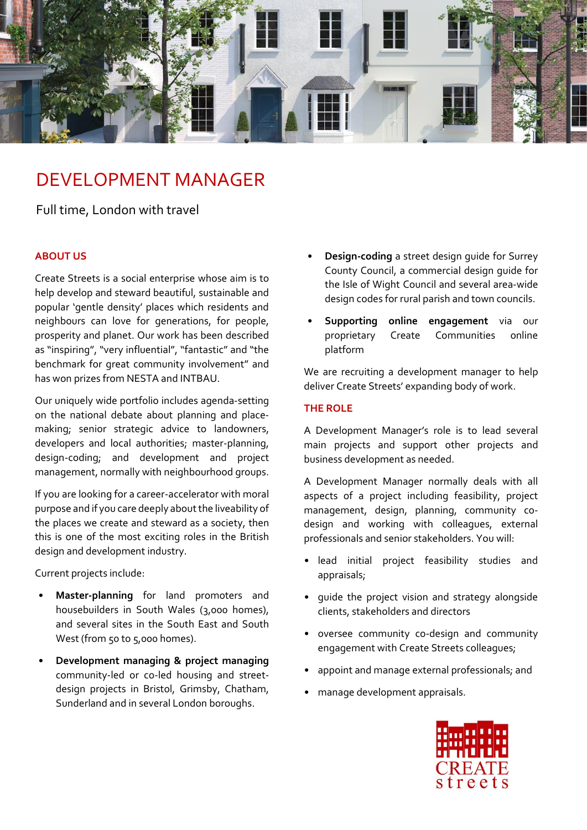

# DEVELOPMENT MANAGER

# Full time, London with travel

### **ABOUT US**

Create Streets is a social enterprise whose aim is to help develop and steward beautiful, sustainable and popular 'gentle density' places which residents and neighbours can love for generations, for people, prosperity and planet. Our work has been described as "inspiring", "very influential", "fantastic" and "the benchmark for great community involvement" and has won prizes from NESTA and INTBAU.

Our uniquely wide portfolio includes agenda-setting on the national debate about planning and placemaking; senior strategic advice to landowners, developers and local authorities; master-planning, design-coding; and development and project management, normally with neighbourhood groups.

If you are looking for a career-accelerator with moral purpose and if you care deeply about the liveability of the places we create and steward as a society, then this is one of the most exciting roles in the British design and development industry.

Current projects include:

- **Master-planning** for land promoters and housebuilders in South Wales (3,000 homes), and several sites in the South East and South West (from 50 to 5,000 homes).
- **Development managing & project managing** community-led or co-led housing and streetdesign projects in Bristol, Grimsby, Chatham, Sunderland and in several London boroughs.
- **Design-coding** a street design guide for Surrey County Council, a commercial design guide for the Isle of Wight Council and several area-wide design codes for rural parish and town councils.
- **Supporting online engagement** via our proprietary Create Communities online platform

We are recruiting a development manager to help deliver Create Streets' expanding body of work.

## **THE ROLE**

A Development Manager's role is to lead several main projects and support other projects and business development as needed.

A Development Manager normally deals with all aspects of a project including feasibility, project management, design, planning, community codesign and working with colleagues, external professionals and senior stakeholders. You will:

- lead initial project feasibility studies and appraisals;
- guide the project vision and strategy alongside clients, stakeholders and directors
- oversee community co-design and community engagement with Create Streets colleagues;
- appoint and manage external professionals; and
- manage development appraisals.